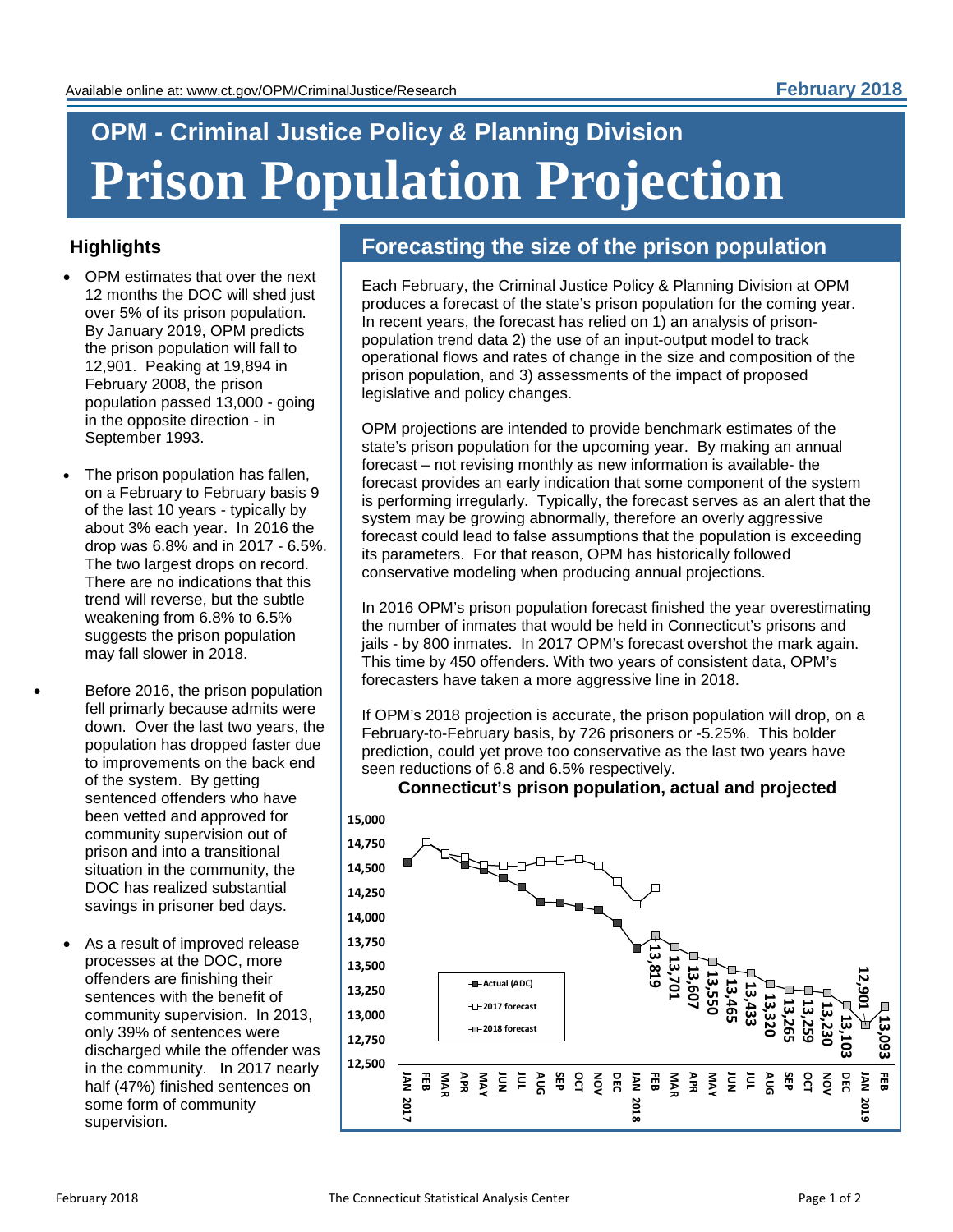# **OPM - Criminal Justice Policy** *&* **Planning Division Prison Population Projection**

## **Highlights**

- OPM estimates that over the next 12 months the DOC will shed just over 5% of its prison population. By January 2019, OPM predicts the prison population will fall to 12,901. Peaking at 19,894 in February 2008, the prison population passed 13,000 - going in the opposite direction - in September 1993.
- The prison population has fallen, on a February to February basis 9 of the last 10 years - typically by about 3% each year. In 2016 the drop was 6.8% and in 2017 - 6.5%. The two largest drops on record. There are no indications that this trend will reverse, but the subtle weakening from 6.8% to 6.5% suggests the prison population may fall slower in 2018.
- Before 2016, the prison population fell primarly because admits were down. Over the last two years, the population has dropped faster due to improvements on the back end of the system. By getting sentenced offenders who have been vetted and approved for community supervision out of prison and into a transitional situation in the community, the DOC has realized substantial savings in prisoner bed days.
	- As a result of improved release processes at the DOC, more offenders are finishing their sentences with the benefit of community supervision. In 2013, only 39% of sentences were discharged while the offender was in the community. In 2017 nearly half (47%) finished sentences on some form of community supervision.

# **Forecasting the size of the prison population**

Each February, the Criminal Justice Policy & Planning Division at OPM produces a forecast of the state's prison population for the coming year. In recent years, the forecast has relied on 1) an analysis of prisonpopulation trend data 2) the use of an input-output model to track operational flows and rates of change in the size and composition of the prison population, and 3) assessments of the impact of proposed legislative and policy changes.

OPM projections are intended to provide benchmark estimates of the state's prison population for the upcoming year. By making an annual forecast – not revising monthly as new information is available- the forecast provides an early indication that some component of the system is performing irregularly. Typically, the forecast serves as an alert that the system may be growing abnormally, therefore an overly aggressive forecast could lead to false assumptions that the population is exceeding its parameters. For that reason, OPM has historically followed conservative modeling when producing annual projections.

In 2016 OPM's prison population forecast finished the year overestimating the number of inmates that would be held in Connecticut's prisons and jails - by 800 inmates. In 2017 OPM's forecast overshot the mark again. This time by 450 offenders. With two years of consistent data, OPM's forecasters have taken a more aggressive line in 2018.

If OPM's 2018 projection is accurate, the prison population will drop, on a February-to-February basis, by 726 prisoners or -5.25%. This bolder prediction, could yet prove too conservative as the last two years have seen reductions of 6.8 and 6.5% respectively.



**Connecticut's prison population, actual and projected**